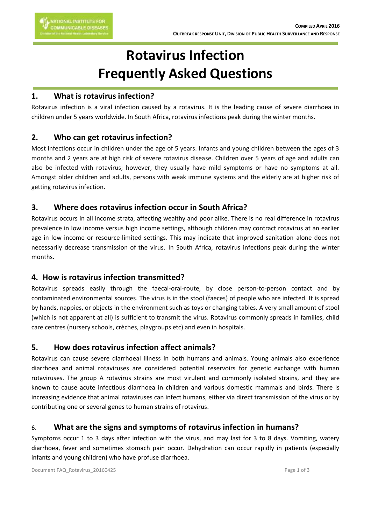# **Rotavirus Infection Frequently Asked Questions**

### **1. What is rotavirus infection?**

Rotavirus infection is a viral infection caused by a rotavirus. It is the leading cause of severe diarrhoea in children under 5 years worldwide. In South Africa, rotavirus infections peak during the winter months.

## **2. Who can get rotavirus infection?**

Most infections occur in children under the age of 5 years. Infants and young children between the ages of 3 months and 2 years are at high risk of severe rotavirus disease. Children over 5 years of age and adults can also be infected with rotavirus; however, they usually have mild symptoms or have no symptoms at all. Amongst older children and adults, persons with weak immune systems and the elderly are at higher risk of getting rotavirus infection.

## **3. Where does rotavirus infection occur in South Africa?**

Rotavirus occurs in all income strata, affecting wealthy and poor alike. There is no real difference in rotavirus prevalence in low income versus high income settings, although children may contract rotavirus at an earlier age in low income or resource-limited settings. This may indicate that improved sanitation alone does not necessarily decrease transmission of the virus. In South Africa, rotavirus infections peak during the winter months.

# **4. How is rotavirus infection transmitted?**

Rotavirus spreads easily through the faecal-oral-route, by close person-to-person contact and by contaminated environmental sources. The virus is in the stool (faeces) of people who are infected. It is spread by hands, nappies, or objects in the environment such as toys or changing tables. A very small amount of stool (which is not apparent at all) is sufficient to transmit the virus. Rotavirus commonly spreads in families, child care centres (nursery schools, crèches, playgroups etc) and even in hospitals.

# **5. How does rotavirus infection affect animals?**

Rotavirus can cause severe diarrhoeal illness in both humans and animals. Young animals also experience diarrhoea and animal rotaviruses are considered potential reservoirs for genetic exchange with human rotaviruses. The group A rotavirus strains are most virulent and commonly isolated strains, and they are known to cause acute infectious diarrhoea in children and various domestic mammals and birds. There is increasing evidence that animal rotaviruses can infect humans, either via direct transmission of the virus or by contributing one or several genes to human strains of rotavirus.

# 6. **What are the signs and symptoms of rotavirus infection in humans?**

Symptoms occur 1 to 3 days after infection with the virus, and may last for 3 to 8 days. Vomiting, watery diarrhoea, fever and sometimes stomach pain occur. Dehydration can occur rapidly in patients (especially infants and young children) who have profuse diarrhoea.